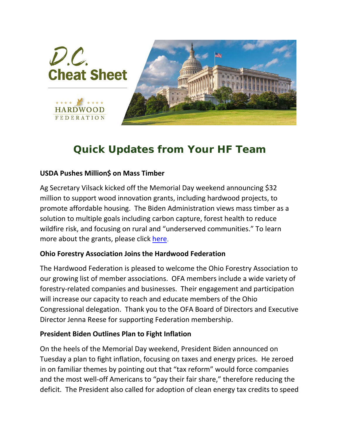

## *Quick Updates from Your HF Team*

## **USDA Pushes Million\$ on Mass Timber**

Ag Secretary Vilsack kicked off the Memorial Day weekend announcing \$32 million to support wood innovation grants, including hardwood projects, to promote affordable housing. The Biden Administration views mass timber as a solution to multiple goals including carbon capture, forest health to reduce wildfire risk, and focusing on rural and "underserved communities." To learn more about the grants, please click [here.](https://www.fs.usda.gov/science-technology/energy-forest-products/wood-innovation)

## **Ohio Forestry Association Joins the Hardwood Federation**

The Hardwood Federation is pleased to welcome the Ohio Forestry Association to our growing list of member associations. OFA members include a wide variety of forestry-related companies and businesses. Their engagement and participation will increase our capacity to reach and educate members of the Ohio Congressional delegation. Thank you to the OFA Board of Directors and Executive Director Jenna Reese for supporting Federation membership.

## **President Biden Outlines Plan to Fight Inflation**

On the heels of the Memorial Day weekend, President Biden announced on Tuesday a plan to fight inflation, focusing on taxes and energy prices. He zeroed in on familiar themes by pointing out that "tax reform" would force companies and the most well-off Americans to "pay their fair share," therefore reducing the deficit. The President also called for adoption of clean energy tax credits to speed